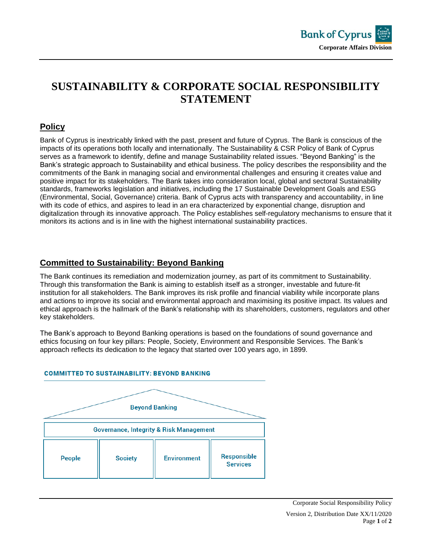

# **SUSTAINABILITY & CORPORATE SOCIAL RESPONSIBILITY STATEMENT**

## **Policy**

Bank of Cyprus is inextricably linked with the past, present and future of Cyprus. The Bank is conscious of the impacts of its operations both locally and internationally. The Sustainability & CSR Policy of Bank of Cyprus serves as a framework to identify, define and manage Sustainability related issues. "Beyond Banking" is the Bank's strategic approach to Sustainability and ethical business. The policy describes the responsibility and the commitments of the Bank in managing social and environmental challenges and ensuring it creates value and positive impact for its stakeholders. The Bank takes into consideration local, global and sectoral Sustainability standards, frameworks legislation and initiatives, including the 17 Sustainable Development Goals and ESG (Environmental, Social, Governance) criteria. Bank of Cyprus acts with transparency and accountability, in line with its code of ethics, and aspires to lead in an era characterized by exponential change, disruption and digitalization through its innovative approach. The Policy establishes self-regulatory mechanisms to ensure that it monitors its actions and is in line with the highest international sustainability practices.

#### **Committed to Sustainability: Beyond Banking**

The Bank continues its remediation and modernization journey, as part of its commitment to Sustainability. Through this transformation the Bank is aiming to establish itself as a stronger, investable and future-fit institution for all stakeholders. The Bank improves its risk profile and financial viability while incorporate plans and actions to improve its social and environmental approach and maximising its positive impact. Its values and ethical approach is the hallmark of the Bank's relationship with its shareholders, customers, regulators and other key stakeholders.

The Bank's approach to Beyond Banking operations is based on the foundations of sound governance and ethics focusing on four key pillars: People, Society, Environment and Responsible Services. The Bank's approach reflects its dedication to the legacy that started over 100 years ago, in 1899.



#### **COMMITTED TO SUSTAINABILITY: BEYOND BANKING**